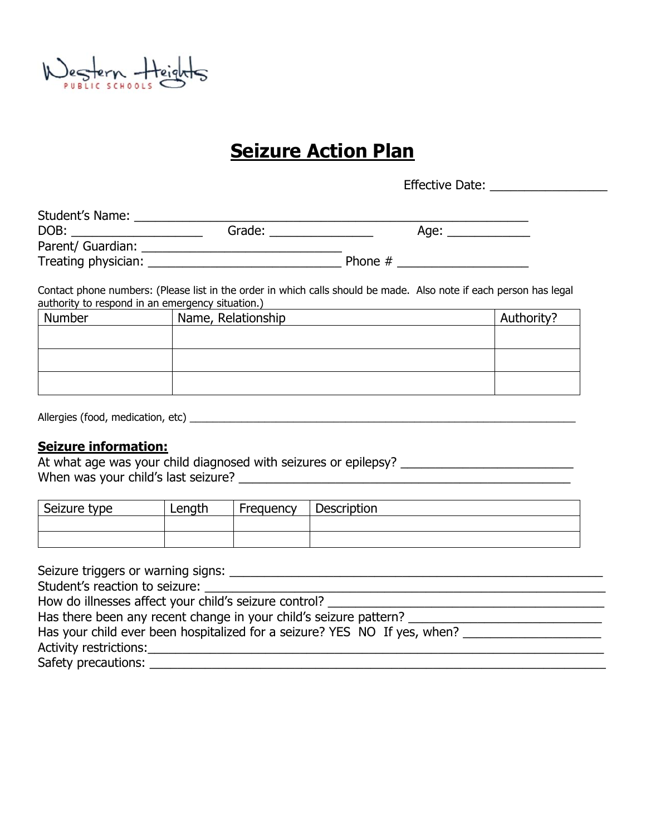Nestern Height

# **Seizure Action Plan**

Effective Date: \_\_\_\_\_\_\_\_\_\_\_\_\_\_\_\_\_\_\_\_

| Student's Name:     |        |           |  |
|---------------------|--------|-----------|--|
| DOB:                | Grade: | Age:      |  |
| Parent/ Guardian:   |        |           |  |
| Treating physician: |        | Phone $#$ |  |

Contact phone numbers: (Please list in the order in which calls should be made. Also note if each person has legal authority to respond in an emergency situation.)

| Number | Name, Relationship | Authority? |
|--------|--------------------|------------|
|        |                    |            |
|        |                    |            |
|        |                    |            |
|        |                    |            |
|        |                    |            |

#### **Seizure information:**

At what age was your child diagnosed with seizures or epilepsy? \_\_\_\_\_\_\_\_\_\_\_\_\_\_\_\_\_\_\_\_\_\_\_\_\_ When was your child's last seizure? \_\_\_\_\_\_\_\_\_\_\_\_\_\_\_\_\_\_\_\_\_\_\_\_\_\_\_\_\_\_\_\_\_\_\_\_\_\_\_\_\_\_\_\_\_\_\_\_

| Seizure type | Length | Frequency | <b>Description</b> |
|--------------|--------|-----------|--------------------|
|              |        |           |                    |
|              |        |           |                    |

Seizure triggers or warning signs: \_\_\_\_\_\_\_\_\_\_\_\_\_\_\_\_\_\_\_\_\_\_\_\_\_\_\_\_\_\_\_\_\_\_\_\_\_\_\_\_\_\_\_\_\_\_\_\_\_\_\_\_\_\_ Student's reaction to seizure: \_\_\_\_\_\_\_\_\_\_\_\_\_\_\_\_\_\_\_\_\_\_\_\_\_\_\_\_\_\_\_\_\_\_\_\_\_\_\_\_\_\_\_\_\_\_\_\_\_\_\_\_\_\_\_\_\_\_ How do illnesses affect your child's seizure control? Has there been any recent change in your child's seizure pattern? \_\_\_\_\_\_\_\_\_\_\_\_\_\_\_\_\_\_\_\_\_\_\_\_\_\_\_\_ Has your child ever been hospitalized for a seizure? YES NO If yes, when? Activity restrictions:\_\_\_\_\_\_\_\_\_\_\_\_\_\_\_\_\_\_\_\_\_\_\_\_\_\_\_\_\_\_\_\_\_\_\_\_\_\_\_\_\_\_\_\_\_\_\_\_\_\_\_\_\_\_\_\_\_\_\_\_\_\_\_\_\_\_ Safety precautions: \_\_\_\_\_\_\_\_\_\_\_\_\_\_\_\_\_\_\_\_\_\_\_\_\_\_\_\_\_\_\_\_\_\_\_\_\_\_\_\_\_\_\_\_\_\_\_\_\_\_\_\_\_\_\_\_\_\_\_\_\_\_\_\_\_\_